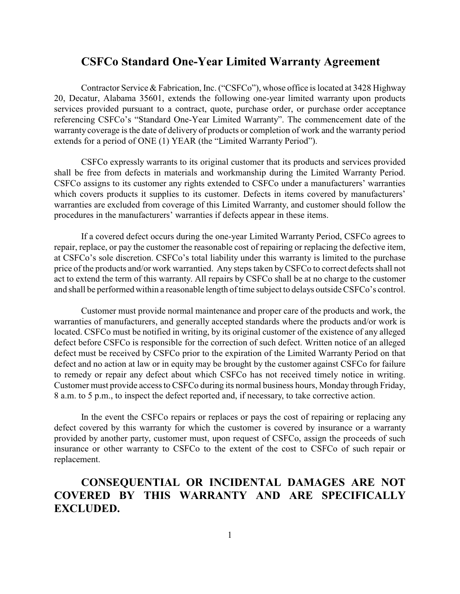## **CSFCo Standard One-Year Limited Warranty Agreement**

Contractor Service & Fabrication, Inc. ("CSFCo"), whose office is located at 3428 Highway 20, Decatur, Alabama 35601, extends the following one-year limited warranty upon products services provided pursuant to a contract, quote, purchase order, or purchase order acceptance referencing CSFCo's "Standard One-Year Limited Warranty". The commencement date of the warranty coverage is the date of delivery of products or completion of work and the warranty period extends for a period of ONE (1) YEAR (the "Limited Warranty Period").

CSFCo expressly warrants to its original customer that its products and services provided shall be free from defects in materials and workmanship during the Limited Warranty Period. CSFCo assigns to its customer any rights extended to CSFCo under a manufacturers' warranties which covers products it supplies to its customer. Defects in items covered by manufacturers' warranties are excluded from coverage of this Limited Warranty, and customer should follow the procedures in the manufacturers' warranties if defects appear in these items.

If a covered defect occurs during the one-year Limited Warranty Period, CSFCo agrees to repair, replace, or pay the customer the reasonable cost of repairing or replacing the defective item, at CSFCo's sole discretion. CSFCo's total liability under this warranty is limited to the purchase price of the products and/or work warrantied. Any steps taken byCSFCo to correct defects shall not act to extend the term of this warranty. All repairs by CSFCo shall be at no charge to the customer and shall be performed within a reasonable length of time subject to delays outside CSFCo's control.

Customer must provide normal maintenance and proper care of the products and work, the warranties of manufacturers, and generally accepted standards where the products and/or work is located. CSFCo must be notified in writing, by its original customer of the existence of any alleged defect before CSFCo is responsible for the correction of such defect. Written notice of an alleged defect must be received by CSFCo prior to the expiration of the Limited Warranty Period on that defect and no action at law or in equity may be brought by the customer against CSFCo for failure to remedy or repair any defect about which CSFCo has not received timely notice in writing. Customer must provide access to CSFCo during its normal business hours, Monday through Friday, 8 a.m. to 5 p.m., to inspect the defect reported and, if necessary, to take corrective action.

In the event the CSFCo repairs or replaces or pays the cost of repairing or replacing any defect covered by this warranty for which the customer is covered by insurance or a warranty provided by another party, customer must, upon request of CSFCo, assign the proceeds of such insurance or other warranty to CSFCo to the extent of the cost to CSFCo of such repair or replacement.

## **CONSEQUENTIAL OR INCIDENTAL DAMAGES ARE NOT COVERED BY THIS WARRANTY AND ARE SPECIFICALLY EXCLUDED.**